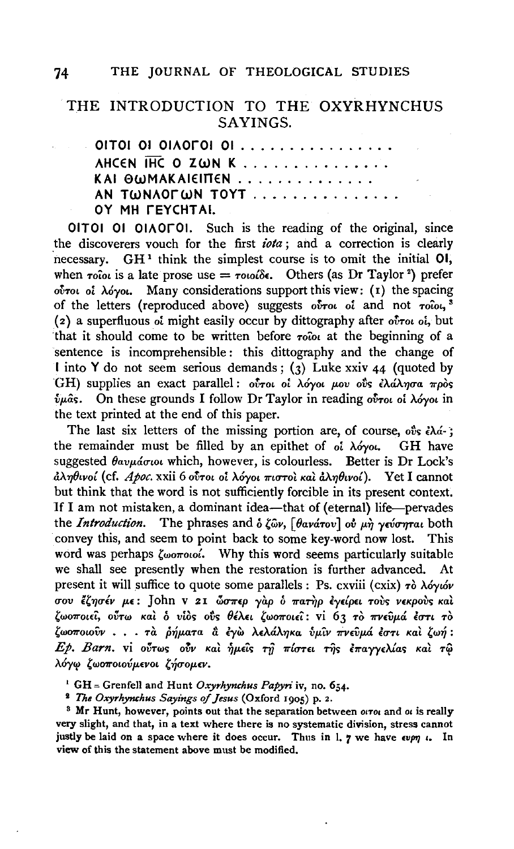## 74 THE JOURNAL OF THEOLOGICAL STUDIES

## THE INTRODUCTION TO THE OXYRHYNCHUS SAYINGS.

OITOI OI OIAOFOI OI . . . . . . . . . . . . . . . . AHCEN IHC O ZWN K ............... KAI OWMAKAIEITTEN .............. AN TWNAOFWN TOYT . . . . . . . . . . . . . . OY MH rEYCHT Al.

OITOI 01 OIAOrOI. Such is the reading of the original, since the discoverers vouch for the first *iota* ; and a correction is clearly  $n$ ecessary. GH<sup>1</sup> think the simplest course is to omit the initial OI, when  $\tau$ <sup>o</sup>iou is a late prose use  $= \tau$ ouoi<sup> $\delta \epsilon$ </sup>. Others (as Dr Taylor<sup>2</sup>) prefer o~ToL *oi A.OyoL.* Many considerations support this view: ( 1) the spacing of the letters (reproduced above) suggests ovrou oi and not *rolou*,<sup>3</sup> (2) a superfluous of might easily occur by dittography after otroi of, but that it should come to be written before  $\tau$ <sup>0</sup> $\alpha$  at the beginning of a sentence is incomprehensible: this dittography and the change of I into Y do not seem serious demands;  $(3)$  Luke xxiv 44 (quoted by GH) supplies an exact parallel: oύτοι οι λόγοι μου ούς ελάλησα πρòς  $ν$ <sub>μ</sub>ας. On these grounds I follow Dr Taylor in reading *ούτοι οι λόγοι* in the text printed at the end of this paper.

The last six letters of the missing portion are, of course,  $\partial \delta s \partial \dot{\alpha}$ ; the remainder must be filled by an epithet of *oi*  $\lambda$ óyot. **GH** have suggested θαυμάσιοι which, however, is colourless. Better is Dr Lock's *aA'YJ8Lvol* (cf. *Apoc.* xxii 6 *OVTOL oi AOyOL 7rLUTOt Kat aA'YJ8Lvol).* Yet I cannot but think that the word is not sufficiently forcible in its present context. 1f I am not mistaken, a dominant idea-that of (eternal) life-pervades the *Introduction*. The phrases and *δ* ζων, [θανάτου] ού μη γεύσηται both convey this, and seem to point back to some key-word now lost. This word was perhaps  $\zeta_{\omega\sigma\tau\omega\omega}$ . Why this word seems particularly suitable we shall see presently when the restoration is further advanced. present it will suffice to quote some parallels : Ps. cxviii (cxix) τὸ λόγιόν *uov f.''YJulv* p.£: John v 21 *6JU7r£p yap b* 7ra~p *iy£lp£L* Tov~ v£Kpov~ *Kat 'wo7roL£t, oVTw Kat b* vio~ ol)~ *(}lA.n* 'w07rou'i': vi 6 3 To *7f'V£vp.rf EUTL* To *'W07rOLovv* • • • *Ta Mp.aTa* & iy~ *A£'A&.A'YJKa flp.l.v 7f'V£vp.ri EUTL Kat* 'w~ : Ep. Barn. vi oύτως ούν και ήμεις τη πίστει της επαγγελίας και τω λόγω ζωοποιούμενοι ζήσομεν.

1 GH = Grenfell and Hunt *Oxyrhynchus Papyri* iv, no. 654.

<sup>2</sup> The Oxyrhynchus Sayings of Jesus (Oxford 1905) p. 2.

 $3$  Mr Hunt, however, points out that the separation between  $\alpha\tau\alpha$  and  $\alpha$  is really very slight, and that, in a text where there is no systematic division, stress cannot justly be laid on a space where it does occur. Thus in 1. 7 we have  $\epsilon v \rho \eta$  . In view of this the statement above must be modified.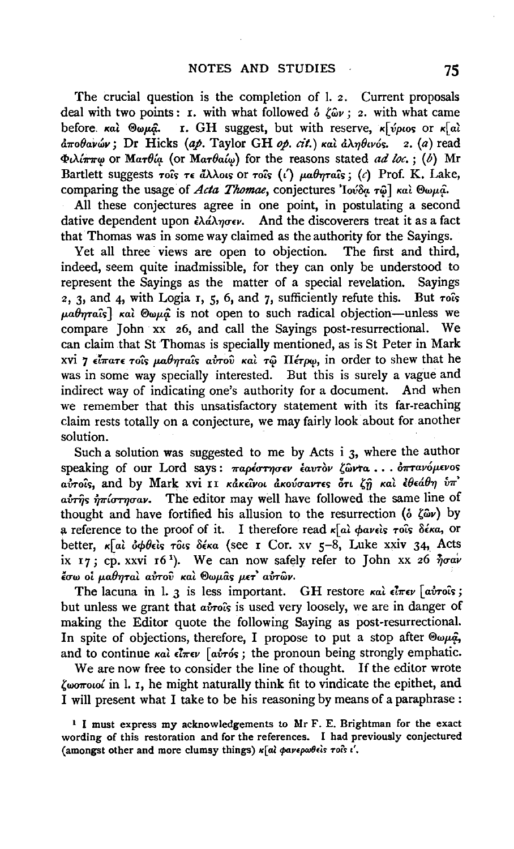The crucial question is the completion of I. 2. Current proposals deal with two points: **I.** with what followed  $\delta$   $\zeta_{\omega}$ ; **2.** with what came before. *Kal* @wµa<sup>2</sup>. **I.** GH suggest, but with reserve, K[vplos or K[al]  $\frac{\partial \pi}{\partial \theta}$ ανών; Dr Hicks (ap. Taylor GH op. cit.) και  $\frac{\partial \lambda}{\partial \theta}$ ινός. z. (a) read *cp,),{1l"7l"'l!* or *MaTB{f!-* (or *MaTBat'l!)* for the reasons stated *ad loc.;* (b) Mr Bartlett suggests  $\tau$ ots  $\tau \in \tilde{a} \lambda \lambda$ ots or  $\tau$ ots  $(\tilde{t})$  *μαθηταΐς*; (c) Prof. K. Lake, comparing the usage of *Acta Thomae*, conjectures 'Iov'δα τω] και ®ωμα.

All these conjectures agree in one point, in postulating a second dative dependent upon  $\partial_t \tilde{\Delta} \tilde{\lambda} \eta \sigma \epsilon \nu$ . And the discoverers treat it as a fact that Thomas was in some way claimed as the authority for the Sayings.

Yet all three views are open to objection. The first and third, indeed, seem quite inadmissible, for they can only be understood to represent the Sayings as the matter of a special revelation. Sayings 2, 3, and 4, with Logia 1, 5, 6, and 7, sufficiently refute this. But  $\tau$ ots  $\mu a \theta$ *ma* $\hat{i}$ ; *Kal*  $\Theta$ *wp.* is not open to such radical objection—unless we compare John xx 26, and call the Sayings post-resurrectional. We can claim that St Thomas is specially mentioned, as is St Peter in Mark xvi 7 είπατε τοίς μαθηταίς αυτού και τω Πέτρω, in order to shew that he was in some way specially interested. But this is surely a vague and indirect way of indicating one's authority for a document. And when we remember that this unsatisfactory statement with its far-reaching claim rests totally on a conjecture, we may fairly look about for another solution.

Such a solution was suggested to me by Acts i 3, where the author speaking of our Lord says: παρέστησεν έαυτὸν ζῶντα ... **οπτανόμενο**ς avrois, and by Mark xvi II κάκεινοι άκούσαντες ότι ζή και εθεάθη υπ' airing  $\eta$ <sup>T</sup>iornoav. The editor may well have followed the same line of thought and have fortified his allusion to the resurrection ( $\delta \xi \hat{\omega} v$ ) by a reference to the proof of it. I therefore read  $\kappa$ [al pavels rols  $\delta \epsilon \kappa a$ , or better, «ai opbeis rôis déka (see I Cor. xv 5-8, Luke xxiv 34, Acts ix 17; cp. xxvi 16<sup>1</sup>). We can now safely refer to John xx 26  $\eta \sigma a \nu$ *tσω* οί μαθηταὶ αὐτοῦ καὶ Θωμᾶς μετ' αὐτῶν.

The lacuna in 1. *3* is less important. GH restore και είπεν [αυτούs; but unless we grant that *atro*<sup>c</sup>s is used very loosely, we are in danger of making the Editor quote the following Saying as post-resurrectional. In spite of objections, therefore, I propose to put a stop after  $\mathcal{P}\omega\mu\hat{q}$ , and to continue  $\kappa a$   $\hat{i}$   $\pi \epsilon \nu$  [ $\hat{a} \hat{v} \tau \hat{\omega}$ s; the pronoun being strongly emphatic.

We are now free to consider the line of thought. If the editor wrote  $\zeta$ worow' in 1. I, he might naturally think fit to vindicate the epithet, and I will present what I take to be his reasoning by means of a paraphrase :

<sup>&</sup>lt;sup>1</sup> I must express my acknowledgements to Mr F. E. Brightman for the exact wording of this restoration and for the references. I had previously conjectured (amongst other and more clumsy things)  $\kappa$ [al  $\phi$ avepw $\theta$ els rols i'.